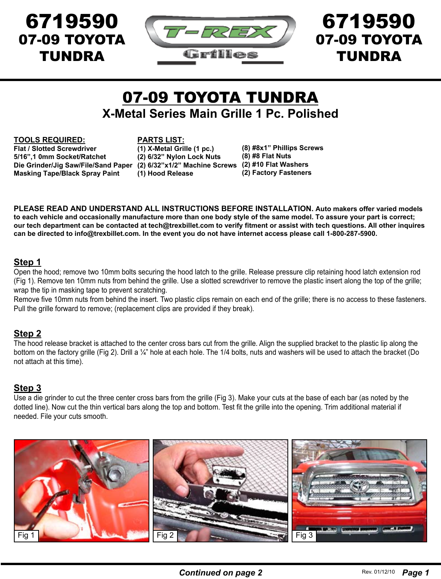

# 07-09 TOYOTA TUNDRA **X-Metal Series Main Grille 1 Pc. Polished**

#### **TOOLS REQUIRED:**

**Flat / Slotted Screwdriver 5/16",1 0mm Socket/Ratchet Die Grinder/Jig Saw/File/Sand Paper (2) 6/32"x1/2" Machine Screws (2) #10 Flat Washers Masking Tape/Black Spray Paint**

**PARTS LIST:**

**(1) X-Metal Grille (1 pc.) (2) 6/32" Nylon Lock Nuts (1) Hood Release**

**(8) #8x1" Phillips Screws (8) #8 Flat Nuts (2) Factory Fasteners**

**PLEASE READ AND UNDERSTAND ALL INSTRUCTIONS BEFORE INSTALLATION. Auto makers offer varied models to each vehicle and occasionally manufacture more than one body style of the same model. To assure your part is correct; our tech department can be contacted at tech@trexbillet.com to verify fitment or assist with tech questions. All other inquires can be directed to info@trexbillet.com. In the event you do not have internet access please call 1-800-287-5900.**

#### **Step 1**

Open the hood; remove two 10mm bolts securing the hood latch to the grille. Release pressure clip retaining hood latch extension rod (Fig 1). Remove ten 10mm nuts from behind the grille. Use a slotted screwdriver to remove the plastic insert along the top of the grille; wrap the tip in masking tape to prevent scratching.

Remove five 10mm nuts from behind the insert. Two plastic clips remain on each end of the grille; there is no access to these fasteners. Pull the grille forward to remove; (replacement clips are provided if they break).

#### **Step 2**

The hood release bracket is attached to the center cross bars cut from the grille. Align the supplied bracket to the plastic lip along the bottom on the factory grille (Fig 2). Drill a ¼" hole at each hole. The 1/4 bolts, nuts and washers will be used to attach the bracket (Do not attach at this time).

#### **Step 3**

Use a die grinder to cut the three center cross bars from the grille (Fig 3). Make your cuts at the base of each bar (as noted by the dotted line). Now cut the thin vertical bars along the top and bottom. Test fit the grille into the opening. Trim additional material if needed. File your cuts smooth.